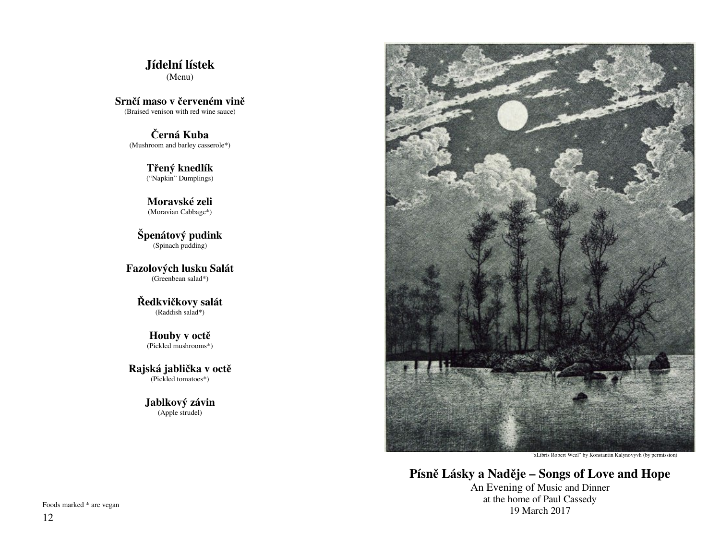**Jídelní lístek**(Menu)

**Srn**č**í maso v** č**erveném vin**ě(Braised venison with red wine sauce)

> Č**erná Kuba** (Mushroom and barley casserole\*)

> > **T**ř**ený knedlík** ("Napkin" Dumplings)

> > **Moravské zeli** (Moravian Cabbage\*)

**Špenátový pudink** (Spinach pudding)

**Fazolových lusku Salát**(Greenbean salad\*)

> Ř**edkvi**č**kovy salát** (Raddish salad\*)

> > **Houby v oct**ě(Pickled mushrooms\*)

**Rajská jabli**č**ka v oct**ě(Pickled tomatoes\*)

> **Jablkový závin**(Apple strudel)



"xLibris Robert Wezl" by Konstantin Kalynovyvh (by permission)

**Písn**ě **Lásky a Nad**ě**je – Songs of Love and Hope**

An Evening of Music and Dinner at the home of Paul Cassedy 19 March 2017

Foods marked \* are vegan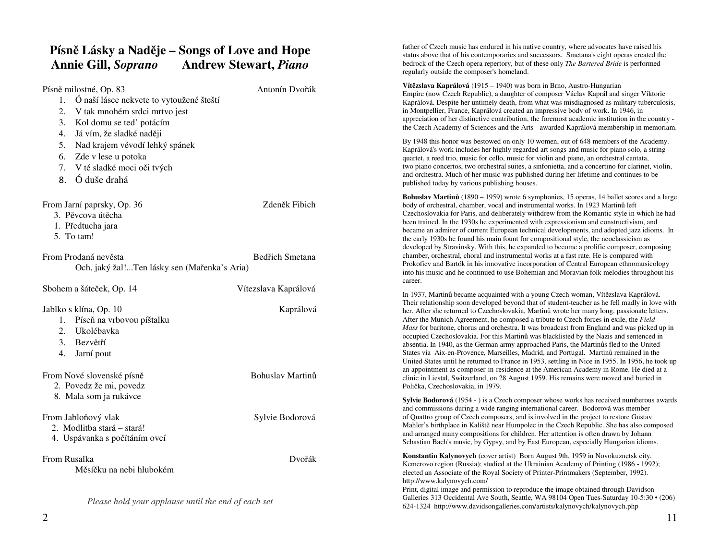# **Písn**ě **Lásky a Nad**ě**je – Songs of Love and Hope Annie Gill,** *Soprano* **Andrew Stewart,** *Piano*

*Please hold your applause until the end of each set*

# Písně milostné, Op. 83 Antonín Dvořák

| $\mathbf{r}$ none nanostne, $\mathcal{O}_{\mathcal{P}}$ . 05<br>1. Ó naší lásce nekvete to vytoužené šteští<br>V tak mnohém srdci mrtvo jest<br>2.<br>Kol domu se ted' potácím<br>3.<br>4. |                      | Empire (now Czech Republic),<br>Kaprálová. Despite her untimely<br>in Montpellier, France, Kaprálo<br>appreciation of her distinctive co<br>the Czech Academy of Sciences                                                                                                                 |
|--------------------------------------------------------------------------------------------------------------------------------------------------------------------------------------------|----------------------|-------------------------------------------------------------------------------------------------------------------------------------------------------------------------------------------------------------------------------------------------------------------------------------------|
| Já vím, že sladké naději<br>Nad krajem vévodí lehký spánek<br>5.<br>Zde v lese u potoka<br>6.<br>V té sladké moci oči tvých<br>7.<br>Ó duše drahá<br>8.                                    |                      | By 1948 this honor was bestowe<br>Kaprálová's work includes her h<br>quartet, a reed trio, music for ce<br>two piano concertos, two orches<br>and orchestra. Much of her musi<br>published today by various publ                                                                          |
| From Jarní paprsky, Op. 36<br>3. Pěvcova útěcha<br>1. Předtucha jara<br>5. To tam!                                                                                                         | Zdeněk Fibich        | Bohuslav Martinů (1890 – 195<br>body of orchestral, chamber, vo<br>Czechoslovakia for Paris, and de<br>been trained. In the 1930s he ex-<br>became an admirer of current Et<br>the early 1930s he found his ma<br>developed by Stravinsky. With t                                         |
| <b>Bedřich Smetana</b><br>From Prodaná nevěsta<br>Och, jaký žal!Ten lásky sen (Mařenka's Aria)                                                                                             |                      | chamber, orchestral, choral and<br>Prokofiev and Bartók in his inno<br>into his music and he continued<br>career.                                                                                                                                                                         |
| Sbohem a šáteček, Op. 14                                                                                                                                                                   | Vítezslava Kaprálová | In 1937, Martinů became acquai                                                                                                                                                                                                                                                            |
| Jablko s klína, Op. 10<br>1. Píseň na vrbovou píštalku<br>Ukolébavka<br>$\overline{2}$ .<br>Bezvětří<br>3.<br>$\overline{4}$ .<br>Jarní pout                                               | Kaprálová            | Their relationship soon develope<br>her. After she returned to Czech<br>After the Munich Agreement, he<br>Mass for baritone, chorus and or<br>occupied Czechoslovakia. For th<br>absentia. In 1940, as the German<br>States via Aix-en-Provence, Ma<br>United States until he returned to |
| From Nové slovenské písně<br>2. Povedz že mi, povedz                                                                                                                                       | Bohuslav Martinů     | an appointment as composer-in-<br>clinic in Liestal, Switzerland, or<br>Polička, Czechoslovakia, in 197                                                                                                                                                                                   |
| 8. Mala som ja rukávce<br>From Jabloňový vlak<br>2. Modlitba stará - stará!<br>4. Uspávanka s počítáním ovcí                                                                               | Sylvie Bodorová      | Sylvie Bodorová (1954 - ) is a 0<br>and commissions during a wide<br>of Quattro group of Czech comp<br>Mahler's birthplace in Kaliště no<br>and arranged many composition<br>Sebastian Bach's music, by Gyp                                                                               |
| From Rusalka<br>Měsíčku na nebi hlubokém                                                                                                                                                   | Dvořák               | Konstantin Kalynovych (cover<br>Kemerovo region (Russia); stud<br>elected an Associate of the Roya<br>http://www.kalynovych.com/<br>Print digital image and permiss                                                                                                                       |

father of Czech music has endured in his native country, where advocates have raised his status above that of his contemporaries and successors. Smetana's eight operas created the bedrock of the Czech opera repertory, but of these only *The Bartered Bride* is performed regularly outside the composer's homeland.

**Vít**ě**zslava Kaprálová** (1915 – 1940) was born in Brno, Austro-Hungarian Empire (now Czech Republic), a daughter of composer Václav Kaprál and singer Viktorie Kaprálová. Despite her untimely death, from what was misdiagnosed as military tuberculosis, vá created an impressive body of work. In 1946, in appreciation of her distinctive contribution, the foremost academic institution in the country the Czech Academy of Sciences and the Arts - awarded Kaprálová membership in memoriam.

ed on only 10 women, out of 648 members of the Academy. ighly regarded art songs and music for piano solo, a string llo, music for violin and piano, an orchestral cantata, two piano concertos, two orchestral suites, a sinfonietta, and a concertino for clarinet, violin, ic was published during her lifetime and continues to be ishing houses.

**9)** wrote 6 symphonies, 15 operas, 14 ballet scores and a large cal and instrumental works. In 1923 Martinů left Czechoslovakia for Paris, and deliberately withdrew from the Romantic style in which he had perimented with expressionism and constructivism, and became an admirer of current European technical developments, and adopted jazz idioms. In in fount for compositional style, the neoclassicism as developed by Stravinsky. With this, he expanded to become a prolific composer, composing instrumental works at a fast rate. He is compared with Prokofiev and Bartók in his innovative incorporation of Central European ethnomusicology into his music and he continued to use Bohemian and Moravian folk melodies throughout his

inted with a young Czech woman, Vítězslava Kaprálová. Their relationship soon developed beyond that of student-teacher as he fell madly in love with oslovakia, Martinů wrote her many long, passionate letters. e composed a tribute to Czech forces in exile, the *Field Mass* for baritone, chorus and orchestra. It was broadcast from England and was picked up in his Martinů was blacklisted by the Nazis and sentenced in n army approached Paris, the Martinůs fled to the United arseilles, Madrid, and Portugal. Martinů remained in the United States until he returned to France in 1953, settling in Nice in 1955. In 1956, he took up residence at the American Academy in Rome. He died at a 28 August 1959. His remains were moved and buried in Polička, Czechoslovakia, in 1979.

Czech composer whose works has received numberous awards ranging international career. Bodorová was member of Quattro group of Czech composers, and is involved in the project to restore Gustav Mahler's birthplace in Kaliště near Humpolec in the Czech Republic. She has also composed a for children. Her attention is often drawn by Johann Sebastian Bach's music, by Gypsy, and by East European, especially Hungarian idioms.

artist) Born August 9th, 1959 in Novokuznetsk city, ied at the Ukrainian Academy of Printing (1986 - 1992); al Society of Printer-Printmakers (September, 1992).

 Print, digital image and permission to reproduce the image obtained through Davidson Galleries 313 Occidental Ave South, Seattle, WA 98104 Open Tues-Saturday 10-5:30 • (206) 624-1324 http://www.davidsongalleries.com/artists/kalynovych/kalynovych.php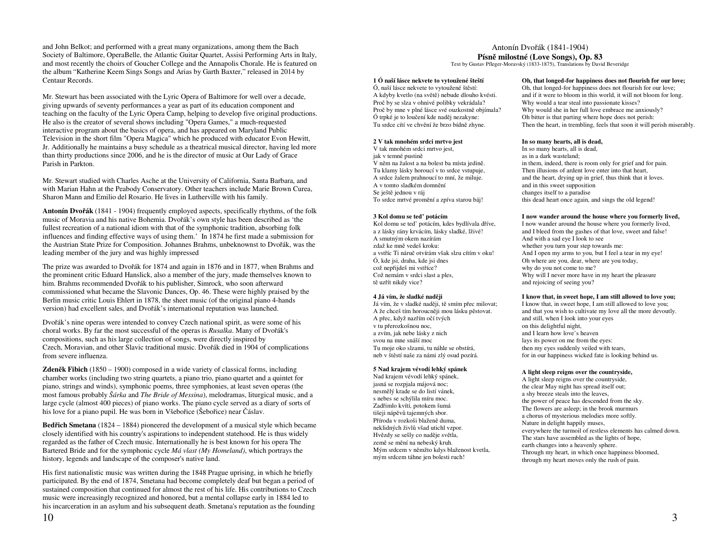and John Belkot; and performed with a great many organizations, among them the Bach Society of Baltimore, OperaBelle, the Atlantic Guitar Quartet, Assisi Performing Arts in Italy, and most recently the choirs of Goucher College and the Annapolis Chorale. He is featured on the album "Katherine Keem Sings Songs and Arias by Garth Baxter," released in 2014 by Centaur Records.

Mr. Stewart has been associated with the Lyric Opera of Baltimore for well over a decade, giving upwards of seventy performances a year as part of its education component and teaching on the faculty of the Lyric Opera Camp, helping to develop five original productions. He also is the creator of several shows including "Opera Games," a much-requested interactive program about the basics of opera, and has appeared on Maryland Public Television in the short film "Opera Magica" which he produced with educator Evon Hewitt, Jr. Additionally he maintains a busy schedule as a theatrical musical director, having led more than thirty productions since 2006, and he is the director of music at Our Lady of Grace Parish in Parkton.

Mr. Stewart studied with Charles Asche at the University of California, Santa Barbara, and with Marian Hahn at the Peabody Conservatory. Other teachers include Marie Brown Curea, Sharon Mann and Emilio del Rosario. He lives in Lutherville with his family.

**Antonín Dvo**ř**ák** (1841 - 1904) frequently employed aspects, specifically rhythms, of the folk music of Moravia and his native Bohemia. Dvořák's own style has been described as 'the fullest recreation of a national idiom with that of the symphonic tradition, absorbing folk influences and finding effective ways of using them.' In 1874 he first made a submission for the Austrian State Prize for Composition. Johannes Brahms, unbeknownst to Dvořák, was the leading member of the jury and was highly impressed

The prize was awarded to Dvořák for 1874 and again in 1876 and in 1877, when Brahms and the prominent critic Eduard Hanslick, also a member of the jury, made themselves known to him. Brahms recommended Dvořák to his publisher, Simrock, who soon afterward commissioned what became the Slavonic Dances, Op. 46. These were highly praised by the Berlin music critic Louis Ehlert in 1878, the sheet music (of the original piano 4-hands version) had excellent sales, and Dvořák's international reputation was launched.

Dvořák's nine operas were intended to convey Czech national spirit, as were some of his choral works. By far the most successful of the operas is *Rusalka*. Many of Dvořák's compositions, such as his large collection of songs, were directly inspired by Czech, Moravian, and other Slavic traditional music. Dvořák died in 1904 of complications from severe influenza.

**Zden**ě**k Fibich** (1850 – 1900) composed in a wide variety of classical forms, including chamber works (including two string quartets, a piano trio, piano quartet and a quintet for piano, strings and winds), symphonic poems, three symphonies, at least seven operas (the most famous probably *Šárka* and *The Bride of Messina*), melodramas, liturgical music, and a large cycle (almost 400 pieces) of piano works. The piano cycle served as a diary of sorts of his love for a piano pupil. He was born in Všebořice (Šebořice) near Čáslav.

**Bed**ř**ich Smetana** (1824 – 1884) pioneered the development of a musical style which became closely identified with his country's aspirations to independent statehood. He is thus widely regarded as the father of Czech music. Internationally he is best known for his opera The Bartered Bride and for the symphonic cycle *Má vlast (My Homeland)*, which portrays the history, legends and landscape of the composer's native land.

His first nationalistic music was written during the 1848 Prague uprising, in which he briefly participated. By the end of 1874, Smetana had become completely deaf but began a period of sustained composition that continued for almost the rest of his life. His contributions to Czech music were increasingly recognized and honored, but a mental collapse early in 1884 led to his incarceration in an asylum and his subsequent death. Smetana's reputation as the founding

# Antonín Dvořák (1841-1904) **Písn**ě **milostné (Love Songs), Op. 83**

Text by Gustav Pfleger-Moravský (1833-1875), Translations by David Beveridge

# **1 Ó naší lásce nekvete to vytoužené šteští**

Ó, naší lásce nekvete to vytoužené štěstí: A kdyby kvetlo (na světě) nebude dlouho kvésti. Proč by se slza v ohnivé polibky vekrádala? Proč by mne v plné lásce své ouzkostně objímala? Ó trpké je to loučení kde naděj nezakyne: Tu srdce cítí ve chvění že brzo bídně zhyne.

## **2 V tak mnohém srdci mrtvo jest**

V tak mnohém srdci mrtvo jest, jak v temné pustině V něm na žalost a na bolest ba místa jedině. Tu klamy lásky horoucí v to srdce vstupuje, A srdce žalem prahnoucí to mní, že miluje. A v tomto sladkém domnění Se ještě jednou v ráj To srdce mrtvé promění a zpíva starou báj!

#### **3 Kol domu se ted' potácím**

 Kol domu se ted' potácím, kdes bydlívala dříve, a z lásky rány krvácím, lásky sladké, lživé! A smutným okem nazírám zdaž ke mně vedeš kroku: a vstříc Ti náruč otvírám však slzu cítím v oku! Ó, kde jsi, draha, kde jsi dnes což nepřijdeš mi vstříce? Což nemám v srdci slast a ples, <sup>t</sup>ě uzřít nikdy vice?

## **4 Já vím, že sladké nad**ě**ji**

 Já vím, že v sladké naději, tě smím přec milovat; A že chceš tím horoucněji mou lásku pěstovat. A přec, když nazřím očí tvých v tu přerozkošnou noc, a zvím, jak nebe lásky z nich svou na mne snáší moc Tu moje oko slzami, tu náhle se obstírá, neb v štěstí naše za námi zlý osud pozírá.

# **5 Nad krajem vévodí lehký spánek**

Nad krajem vévodí lehký spánek, jasná se rozpjala májová noc; nesmělý krade se do listí vánek, s nebes se schýlila míru moc. Zadřimlo kvítí, potokem šumá tišeji nápěvů tajemných sbor. Příroda v rozkoši blaženě duma, neklidných živlů všad utichl vzpor. Hvězdy se sešly co naděje světla, země se mění na nebeský kruh. Mým srdcem v němžto kdys blaženost kvetla, mým srdcem táhne jen bolesti ruch!

# **Oh, that longed-for happiness does not flourish for our love;**

Oh, that longed-for happiness does not flourish for our love; and if it were to bloom in this world, it will not bloom for long. Why would a tear steal into passionate kisses? Why would she in her full love embrace me anxiously? Oh bitter is that parting where hope does not perish: Then the heart, in trembling, feels that soon it will perish miserably.

#### **In so many hearts, all is dead,**

In so many hearts, all is dead, as in a dark wasteland; in them, indeed, there is room only for grief and for pain. Then illusions of ardent love enter into that heart, and the heart, drying up in grief, thus think that it loves. and in this sweet supposition changes itself to a paradise this dead heart once again, and sings the old legend!

#### **I now wander around the house where you formerly lived,**

I now wander around the house where you formerly lived, and I bleed from the gashes of that love, sweet and false! And with a sad eye I look to see whether you turn your step towards me: And I open my arms to you, but I feel a tear in my eye! Oh where are you, dear, where are you today, why do you not come to me? Why will I never more have in my heart the pleasureand rejoicing of seeing you?

#### **I know that, in sweet hope, I am still allowed to love you;**

I know that, in sweet hope, I am still allowed to love you; and that you wish to cultivate my love all the more devoutly. and still, when I look into your eyes on this delightful night, and I learn how love's heaven lays its power on me from the eyes: then my eyes suddenly veiled with tears, for in our happiness wicked fate is looking behind us.

## **A light sleep reigns over the countryside,**

A light sleep reigns over the countryside, the clear May night has spread itself out; a shy breeze steals into the leaves, the power of peace has descended from the sky. The flowers are asleep; in the brook murmurs a chorus of mysterious melodies more softly. Nature in delight happily muses, everywhere the turmoil of restless elements has calmed down. The stars have assembled as the lights of hope, earth changes into a heavenly sphere. Through my heart, in which once happiness bloomed, through my heart moves only the rush of pain.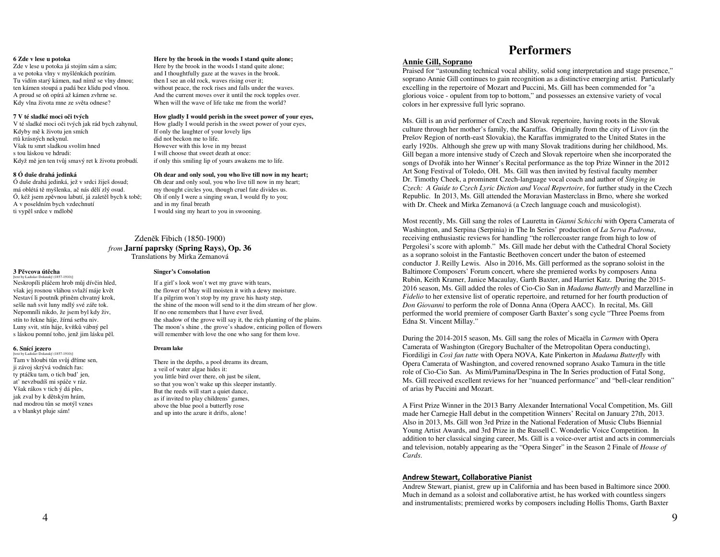# **6 Zde v lese u potoka**

 Zde v lese u potoka já stojím sám a sám; a ve potoka vlny v myšlénkách pozírám. Tu vidím starý kámen, nad nímž se vlny dmou; ten kámen stoupá a padá bez klidu pod vlnou. A proud se oň opírá až kámen zvhrne se. Kdy vlna života mne ze světa odnese?

# **7 V té sladké moci o**č**i tvých**

 V té sladké moci oči tvých jak rád bych zahynul, Kdyby mě k životu jen smích rtů krásných nekynul. Však tu smrt sladkou svolím hned s tou láskou ve hdrudi: Když mě jen ten tvůj smavý ret k životu probudí.

# **8 Ó duše drahá jedinká**

**3 P**ě**vcova út**ě**cha** [text by Ladislav Dolanský (1857-1910)]

**6. Snící jezero**  [text by Ladislav Dolanský (1857-1910)] Tam v hloubi tůn svůj dříme sen, ji závoj skrývá vodních řas: ty ptáčku tam, o tich bud' jen, at' nevzbudíš mi spáče v ráz. Však rákos v tich ý dá ples, jak zval by k dětským hrám, nad modrou tůn se motýl vznes a v blankyt pluje sám!

 Ó duše drahá jedinká, jež v srdci žiješ dosud; má oblétá tě myšlenka, ač nás dělí zlý osud. Ó, kéž jsem zpěvnou labutí, já zaletěl bych k tobě; A v poseldním bych vzdechnutí ti vypěl srdce v mdlobě

 Neskropíli pláčem hrob můj dívčin hled, však jej rosnou vláhou svlaží máje květ Nestaví li poutník přiněm chvatný krok, sešle naň svit luny mdlý své záře tok. Nepomníli nikdo, že jsem byl kdy živ, stín to řekne háje, žírná setba niv. Luny svit, stín háje, kvítků vábný pel s láskou pomní toho, jenž jim lásku pěl.

## **Here by the brook in the woods I stand quite alone;**

Here by the brook in the woods I stand quite alone;and I thoughtfully gaze at the waves in the brook. then I see an old rock, waves rising over it; without peace, the rock rises and falls under the waves. And the current moves over it until the rock topples over. When will the wave of life take me from the world?

# **How gladly I would perish in the sweet power of your eyes,**

How gladly I would perish in the sweet power of your eyes, If only the laughter of your lovely lips did not beckon me to life. However with this love in my breast I will choose that sweet death at once: if only this smiling lip of yours awakens me to life.

# **Oh dear and only soul, you who live till now in my heart;**

Oh dear and only soul, you who live till now in my heart; my thought circles you, though cruel fate divides us. Oh if only I were a singing swan, I would fly to you; and in my final breath I would sing my heart to you in swooning.

# Zdeněk Fibich (1850-1900) *from* **Jarní paprsky (Spring Rays), Op. 36** Translations by Mirka Zemanová

# **Singer's Consolation**

If a girl's look won't wet my grave with tears, the flower of May will moisten it with a dewy moisture. If a pilgrim won't stop by my grave his hasty step, the shine of the moon will send to it the dim stream of her glow. If no one remembers that I have ever lived, the shadow of the grove will say it, the rich planting of the plains. The moon's shine , the grove's shadow, enticing pollen of flowers will remember with love the one who sang for them love.

# **Dream lake**

There in the depths, a pool dreams its dream, a veil of water algae hides it: you little bird over there, oh just be silent, so that you won't wake up this sleeper instantly. But the reeds will start a quiet dance, as if invited to play childrens' games, above the blue pool a butterfly rose and up into the azure it drifts, alone!

# **Performers**

# **Annie Gill, Soprano**

 Praised for "astounding technical vocal ability, solid song interpretation and stage presence," soprano Annie Gill continues to gain recognition as a distinctive emerging artist. Particularly excelling in the repertoire of Mozart and Puccini, Ms. Gill has been commended for "a glorious voice - opulent from top to bottom," and possesses an extensive variety of vocal colors in her expressive full lyric soprano.

Ms. Gill is an avid performer of Czech and Slovak repertoire, having roots in the Slovak culture through her mother's family, the Karaffas. Originally from the city of Livov (in the Prešov Region of north-east Slovakia), the Karaffas immigrated to the United States in the early 1920s. Although she grew up with many Slovak traditions during her childhood, Ms. Gill began a more intensive study of Czech and Slovak repertoire when she incorporated the songs of Dvořák into her Winner's Recital performance as the top Prize Winner in the 2012 Art Song Festival of Toledo, OH. Ms. Gill was then invited by festival faculty member Dr. Timothy Cheek, a prominent Czech-language vocal coach and author of *Singing in Czech: A Guide to Czech Lyric Diction and Vocal Repertoire*, for further study in the Czech Republic. In 2013, Ms. Gill attended the Moravian Masterclass in Brno, where she worked with Dr. Cheek and Mirka Zemanová (a Czech language coach and musicologist).

Most recently, Ms. Gill sang the roles of Lauretta in *Gianni Schicchi* with Opera Camerata of Washington, and Serpina (Serpinia) in The In Series' production of *La Serva Padrona*, receiving enthusiastic reviews for handling "the rollercoaster range from high to low of Pergolesi's score with aplomb." Ms. Gill made her debut with the Cathedral Choral Society as a soprano soloist in the Fantastic Beethoven concert under the baton of esteemed conductor J. Reilly Lewis. Also in 2016, Ms. Gill performed as the soprano soloist in the Baltimore Composers' Forum concert, where she premiered works by composers Anna Rubin, Keith Kramer, Janice Macaulay, Garth Baxter, and Harriet Katz. During the 2015- 2016 season, Ms. Gill added the roles of Cio-Cio San in *Madama Butterfly* and Marzelline in *Fidelio* to her extensive list of operatic repertoire, and returned for her fourth production of *Don Giovanni* to perform the role of Donna Anna (Opera AACC). In recital, Ms. Gill performed the world premiere of composer Garth Baxter's song cycle "Three Poems from Edna St. Vincent Millay."

During the 2014-2015 season, Ms. Gill sang the roles of Micaëla in *Carmen* with Opera Camerata of Washington (Gregory Buchalter of the Metropolitan Opera conducting), Fiordiligi in *Così fan tutte* with Opera NOVA, Kate Pinkerton in *Madama Butterfly* with Opera Camerata of Washington, and covered renowned soprano Asako Tamura in the title role of Cio-Cio San. As Mimì/Pamina/Despina in The In Series production of Fatal Song, Ms. Gill received excellent reviews for her "nuanced performance" and "bell-clear rendition" of arias by Puccini and Mozart.

A First Prize Winner in the 2013 Barry Alexander International Vocal Competition, Ms. Gill made her Carnegie Hall debut in the competition Winners' Recital on January 27th, 2013. Also in 2013, Ms. Gill won 3rd Prize in the National Federation of Music Clubs Biennial Young Artist Awards, and 3rd Prize in the Russell C. Wonderlic Voice Competition. In addition to her classical singing career, Ms. Gill is a voice-over artist and acts in commercials and television, notably appearing as the "Opera Singer" in the Season 2 Finale of *House of Cards*.

# Andrew Stewart, Collaborative Pianist

 Andrew Stewart, pianist, grew up in California and has been based in Baltimore since 2000. Much in demand as a soloist and collaborative artist, he has worked with countless singers and instrumentalists; premiered works by composers including Hollis Thoms, Garth Baxter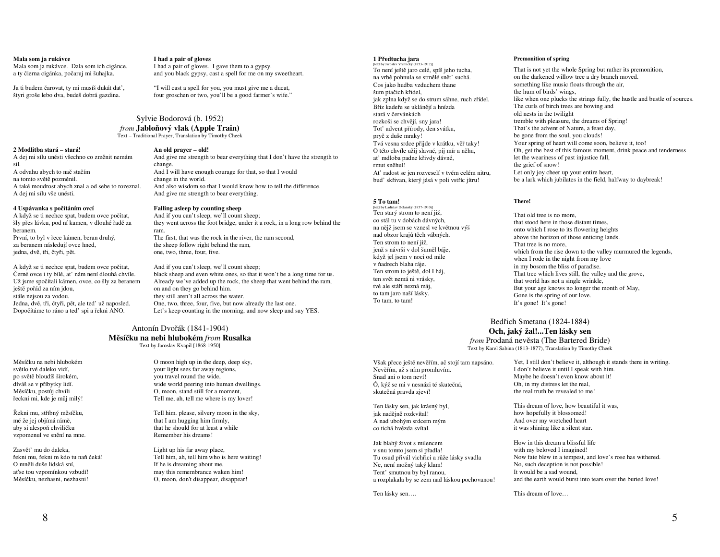#### **Mala som ja rukávce**

 Mala som ja rukávce. Dala som ich cigánce. a ty čierna cigánka, počaruj mi šuhajka.

Ja ti budem čarovat, ty mi musíš dukát dat', štyri groše lebo dva, budeš dobrá gazdina.

#### **I had a pair of gloves**

 I had a pair of gloves. I gave them to a gypsy. and you black gypsy, cast a spell for me on my sweetheart.

"I will cast a spell for you, you must give me a ducat, four groschen or two, you'll be a good farmer's wife."

# Sylvie Bodorová (b. 1952)

*from* **Jablo**ň**ový vlak (Apple Train)** Text – Traditional Prayer, Translation by Timothy Cheek

#### **2 Modlitba stará – stará!**

 A dej mi sílu unésti všechno co změnit nemám sil. A odvahu abych to nač stačím na tomto světě pozměnil. A také moudrost abych znal a od sebe to rozeznal. A dej mi sílu vše unésti.

## **4 Uspávanka s po**č**ítáním ovcí**

 A když se ti nechce spat, budem ovce počitat, šly přes lávku, pod ní kamen, v dlouhé řadě za beranem. První, to byl v řece kámen, beran druhý, za beranem následují ovce hned, jedna, dvě, tři, čtyři, pět.

A když se ti nechce spat, budem ovce počitat, Černé ovce i ty bílé, at' nám není dlouhá chvíle. Už jsme spočítali kámen, ovce, co šly za beranem ještě pořád za ním jdou, stále nejsou za vodou. Jedna, dvě, tři, čtyři, pět, ale ted' už naposled. Dopočítáme to ráno a ted' spi a řekni ANO.

# **An old prayer – old!**  And give me strength to bear everything that I don't have the strength to change.

 And I will have enough courage for that, so that I would change in the world. And also wisdom so that I would know how to tell the difference. And give me strength to bear everything.

#### **Falling asleep by counting sheep** And if you can't sleep, we'll count sheep;

 they went across the foot bridge, under it a rock, in a long row behind the ram.

 The first, that was the rock in the river, the ram second, the sheep follow right behind the ram, one, two, three, four, five.

#### And if you can't sleep, we'll count sheep; black sheep and even white ones, so that it won't be a long time for us. Already we've added up the rock, the sheep that went behind the ram,

on and on they go behind him. they still aren't all across the water. One, two, three, four, five, but now already the last one. Let's keep counting in the morning, and now sleep and say YES.

# Antonín Dvořák (1841-1904) **M**ě**sí**č**ku na nebi hlubokém** *from* **Rusalka**

Text by Jaroslav Kvapil [1868-1950]

Měsíčku na nebi hlubokém světlo tvé daleko vidí, po světě bloudíš širokém, díváš se v příbytky lidí. Měsíčku, postůj chvíli řeckni mi, kde je můj milý!

Řekni mu, stříbný měsíčku, mé že jej objímá rámě, aby si alespoň chviličku vzpomenul ve snění na mne.

Zasvět' mu do daleka, řekni mu, řekni m kdo tu naň <sup>č</sup>eká! O mněli duše lidská sní, at'se tou vzpomínkou vzbudí! Měsíčku, nezhasni, nezhasni!

O moon high up in the deep, deep sky, your light sees far away regions, you travel round the wide, wide world peering into human dwellings. O, moon, stand still for a moment, Tell me, ah, tell me where is my lover!

Tell him. please, silvery moon in the sky, that I am hugging him firmly, that he should for at least a while Remember his dreams!

Light up his far away place, Tell him, ah, tell him who is here waiting! If he is dreaming about me, may this remembrance waken him! O, moon, don't disappear, disappear!

#### **1 P**ř**edtucha jara**

 [text by Jaroslav Vrchlický (1853-1912)] To není ještě jaro celé, spíš jeho tucha, na vrbě pohnula se stmělé snět' suchá. Cos jako hudba vzduchem thane šum ptačich křidel, jak zplna když se do strum sáhne, ruch zřídel. Bříz kadeře se uklánějí a hnízda stará v červánkách rozkoši se chvějí, sny jara! Tot' advent přírody, den svátku, pryč z duše mraky! Tvá vesna srdce přijde v krátku, věř taky! O této chvíle užij slavné, pij mír a něhu, at' mdloba padne křivdy dávné, rmut sněhul! At' radost se jen rozveselí v tvém celém nitru, bud' skřivan, který jásá v poli vstříc jítru!

## **5 To tam!**

 [text by Ladislav Dolanský (1857-1910)] Ten starý strom to není již, co stál tu v dobách dávných, na nějž jsem se vznesl ve květnou výš nad obzor krajů těch vábných. Ten strom to není již, jenž s návrší v dol šuměl báje, když jel jsem v noci od mile v ňadrech blaha ráje. Ten strom to ještě, dol I háj, ten svět nemá ni vrásky, tvé ale stáří nezná máj, to tam jaro naší lásky. To tam, to tam!

#### **Premonition of spring**

That is not yet the whole Spring but rather its premonition, on the darkened willow tree a dry branch moved. something like music floats through the air, the hum of birds' wings, like when one plucks the strings fully, the hustle and bustle of sources. The curls of birch trees are bowing and old nests in the twilight tremble with pleasure, the dreams of Spring! That's the advent of Nature, a feast day, be gone from the soul, you clouds! Your spring of heart will come soon, believe it, too! Oh, get the best of this famous moment, drink peace and tenderness let the weariness of past injustice fall, the grief of snow! Let only joy cheer up your entire heart, be a lark which jubilates in the field, halfway to daybreak!

## **There!**

That old tree is no more, that stood here in those distant times, onto which I rose to its flowering heights above the horizon of those enticing lands. That tree is no more, which from the rise down to the valley murmured the legends, when I rode in the night from my love in my bosom the bliss of paradise. That tree which lives still, the valley and the grove, that world has not a single wrinkle, But your age knows no longer the month of May,Gone is the spring of our love. It's gone! It's gone!

# Bedřich Smetana (1824-1884) **Och, jaký žal!...Ten lásky sen**

 *from* Prodaná nevěsta (The Bartered Bride) Text by Karel Sabina (1813-1877), Translation by Timothy Cheek

Však přece ještě nevěřím, ač stojí tam napsáno. Nevěřím, až s ním promluvím. Snad ani o tom neví! Ó, kýž se mi v nesnázi té skutečná, skutečná pravda zjeví!

Ten lásky sen, jak krásný byl, jak nadějně rozkvítal! A nad ubohým srdcem mým co tichá hvězda svítal.

Jak blahý život s milencem v snu tomto jsem si přadla! Tu osud přivál vichřici a růže lásky svadla Ne, není možný taký klam! Tent' smutnou by byl ranou, a rozplakala by se zem nad láskou pochovanou!

Ten lásky sen….

Yet, I still don't believe it, although it stands there in writing. I don't believe it until I speak with him. Maybe he doesn't even know about it! Oh, in my distress let the real, the real truth be revealed to me!

This dream of love, how beautiful it was, how hopefully it blossomed! And over my wretched heart it was shining like a silent star.

How in this dream a blissful life with my beloved I imagined! Now fate blew in a tempest, and love's rose has withered.No, such deception is not possible! It would be a sad wound, and the earth would burst into tears over the buried love!

This dream of love…